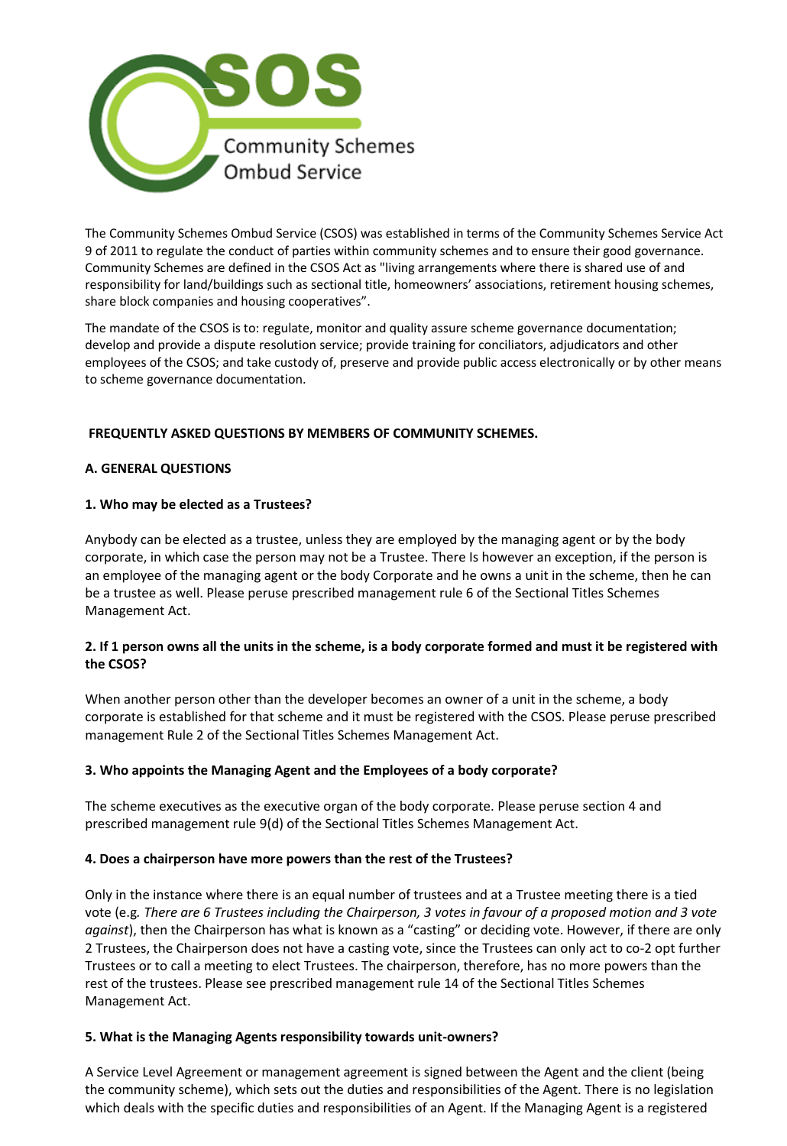

The Community Schemes Ombud Service (CSOS) was established in terms of the Community Schemes Service Act 9 of 2011 to regulate the conduct of parties within community schemes and to ensure their good governance. Community Schemes are defined in the CSOS Act as "living arrangements where there is shared use of and responsibility for land/buildings such as sectional title, homeowners' associations, retirement housing schemes, share block companies and housing cooperatives".

The mandate of the CSOS is to: regulate, monitor and quality assure scheme governance documentation; develop and provide a dispute resolution service; provide training for conciliators, adjudicators and other employees of the CSOS; and take custody of, preserve and provide public access electronically or by other means to scheme governance documentation.

# **FREQUENTLY ASKED QUESTIONS BY MEMBERS OF COMMUNITY SCHEMES.**

## **A. GENERAL QUESTIONS**

## **1. Who may be elected as a Trustees?**

Anybody can be elected as a trustee, unless they are employed by the managing agent or by the body corporate, in which case the person may not be a Trustee. There Is however an exception, if the person is an employee of the managing agent or the body Corporate and he owns a unit in the scheme, then he can be a trustee as well. Please peruse prescribed management rule 6 of the Sectional Titles Schemes Management Act.

## **2. If 1 person owns all the units in the scheme, is a body corporate formed and must it be registered with the CSOS?**

When another person other than the developer becomes an owner of a unit in the scheme, a body corporate is established for that scheme and it must be registered with the CSOS. Please peruse prescribed management Rule 2 of the Sectional Titles Schemes Management Act.

# **3. Who appoints the Managing Agent and the Employees of a body corporate?**

The scheme executives as the executive organ of the body corporate. Please peruse section 4 and prescribed management rule 9(d) of the Sectional Titles Schemes Management Act.

#### **4. Does a chairperson have more powers than the rest of the Trustees?**

Only in the instance where there is an equal number of trustees and at a Trustee meeting there is a tied vote (e.g*. There are 6 Trustees including the Chairperson, 3 votes in favour of a proposed motion and 3 vote against*), then the Chairperson has what is known as a "casting" or deciding vote. However, if there are only 2 Trustees, the Chairperson does not have a casting vote, since the Trustees can only act to co-2 opt further Trustees or to call a meeting to elect Trustees. The chairperson, therefore, has no more powers than the rest of the trustees. Please see prescribed management rule 14 of the Sectional Titles Schemes Management Act.

#### **5. What is the Managing Agents responsibility towards unit-owners?**

A Service Level Agreement or management agreement is signed between the Agent and the client (being the community scheme), which sets out the duties and responsibilities of the Agent. There is no legislation which deals with the specific duties and responsibilities of an Agent. If the Managing Agent is a registered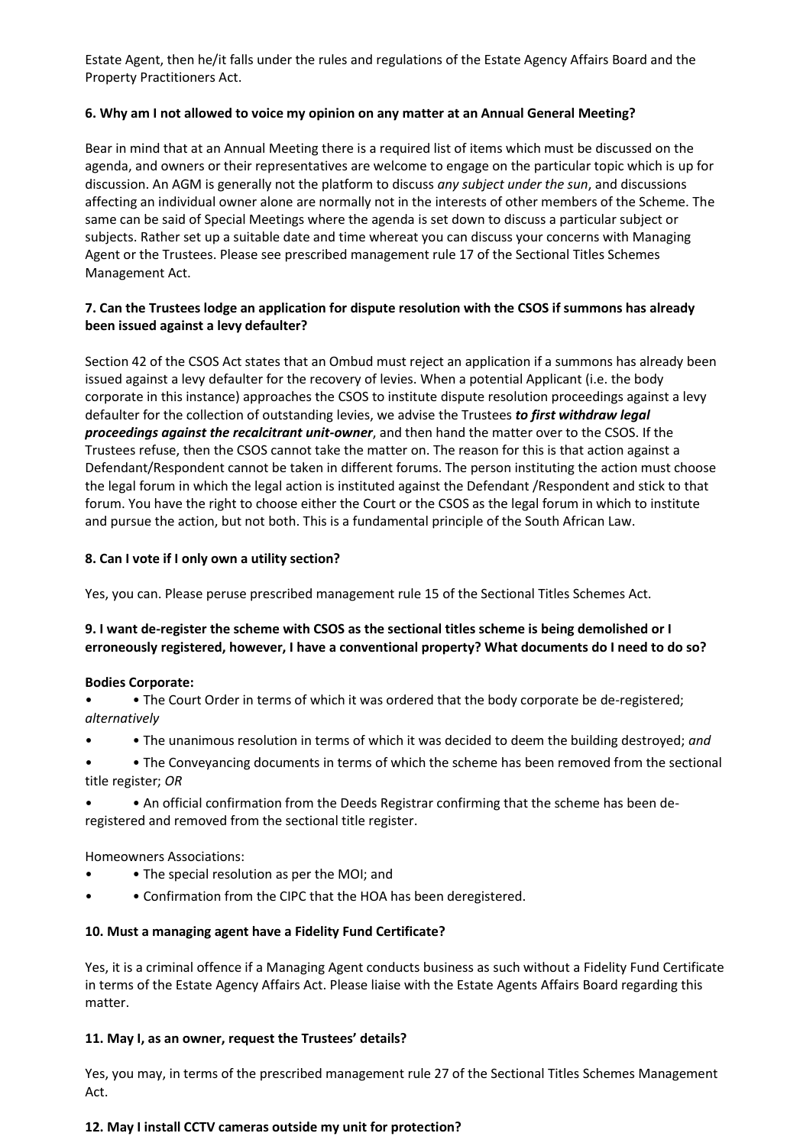Estate Agent, then he/it falls under the rules and regulations of the Estate Agency Affairs Board and the Property Practitioners Act.

## **6. Why am I not allowed to voice my opinion on any matter at an Annual General Meeting?**

Bear in mind that at an Annual Meeting there is a required list of items which must be discussed on the agenda, and owners or their representatives are welcome to engage on the particular topic which is up for discussion. An AGM is generally not the platform to discuss *any subject under the sun*, and discussions affecting an individual owner alone are normally not in the interests of other members of the Scheme. The same can be said of Special Meetings where the agenda is set down to discuss a particular subject or subjects. Rather set up a suitable date and time whereat you can discuss your concerns with Managing Agent or the Trustees. Please see prescribed management rule 17 of the Sectional Titles Schemes Management Act.

## **7. Can the Trustees lodge an application for dispute resolution with the CSOS if summons has already been issued against a levy defaulter?**

Section 42 of the CSOS Act states that an Ombud must reject an application if a summons has already been issued against a levy defaulter for the recovery of levies. When a potential Applicant (i.e. the body corporate in this instance) approaches the CSOS to institute dispute resolution proceedings against a levy defaulter for the collection of outstanding levies, we advise the Trustees *to first withdraw legal proceedings against the recalcitrant unit-owner*, and then hand the matter over to the CSOS. If the Trustees refuse, then the CSOS cannot take the matter on. The reason for this is that action against a Defendant/Respondent cannot be taken in different forums. The person instituting the action must choose the legal forum in which the legal action is instituted against the Defendant /Respondent and stick to that forum. You have the right to choose either the Court or the CSOS as the legal forum in which to institute and pursue the action, but not both. This is a fundamental principle of the South African Law.

## **8. Can I vote if I only own a utility section?**

Yes, you can. Please peruse prescribed management rule 15 of the Sectional Titles Schemes Act.

# **9. I want de-register the scheme with CSOS as the sectional titles scheme is being demolished or I erroneously registered, however, I have a conventional property? What documents do I need to do so?**

#### **Bodies Corporate:**

• • The Court Order in terms of which it was ordered that the body corporate be de-registered; *alternatively* 

- • The unanimous resolution in terms of which it was decided to deem the building destroyed; *and*
- • The Conveyancing documents in terms of which the scheme has been removed from the sectional title register; *OR*
- • An official confirmation from the Deeds Registrar confirming that the scheme has been deregistered and removed from the sectional title register.

Homeowners Associations:

- • The special resolution as per the MOI; and
- • Confirmation from the CIPC that the HOA has been deregistered.

# **10. Must a managing agent have a Fidelity Fund Certificate?**

Yes, it is a criminal offence if a Managing Agent conducts business as such without a Fidelity Fund Certificate in terms of the Estate Agency Affairs Act. Please liaise with the Estate Agents Affairs Board regarding this matter.

# **11. May I, as an owner, request the Trustees' details?**

Yes, you may, in terms of the prescribed management rule 27 of the Sectional Titles Schemes Management Act.

#### **12. May I install CCTV cameras outside my unit for protection?**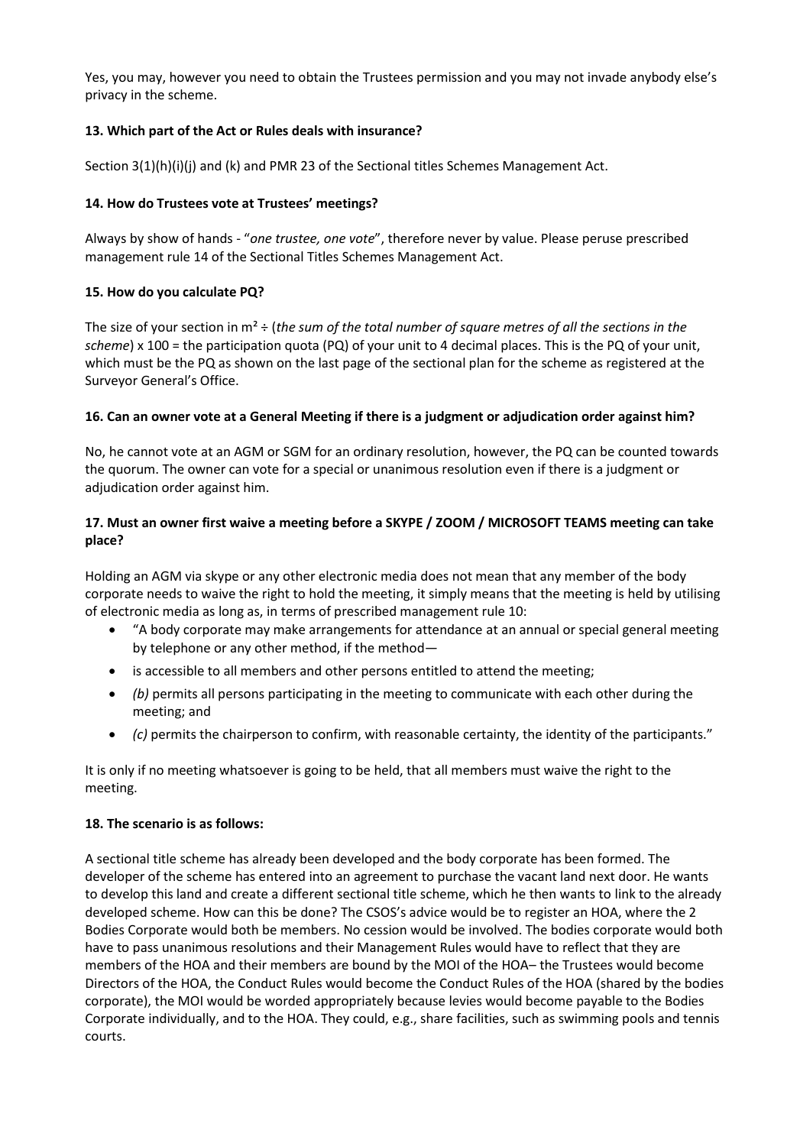Yes, you may, however you need to obtain the Trustees permission and you may not invade anybody else's privacy in the scheme.

### **13. Which part of the Act or Rules deals with insurance?**

Section 3(1)(h)(i)(j) and (k) and PMR 23 of the Sectional titles Schemes Management Act.

## **14. How do Trustees vote at Trustees' meetings?**

Always by show of hands - "*one trustee, one vote*", therefore never by value. Please peruse prescribed management rule 14 of the Sectional Titles Schemes Management Act.

## **15. How do you calculate PQ?**

The size of your section in m² ÷ (*the sum of the total number of square metres of all the sections in the scheme*) x 100 = the participation quota (PQ) of your unit to 4 decimal places. This is the PQ of your unit, which must be the PQ as shown on the last page of the sectional plan for the scheme as registered at the Surveyor General's Office.

## **16. Can an owner vote at a General Meeting if there is a judgment or adjudication order against him?**

No, he cannot vote at an AGM or SGM for an ordinary resolution, however, the PQ can be counted towards the quorum. The owner can vote for a special or unanimous resolution even if there is a judgment or adjudication order against him.

## **17. Must an owner first waive a meeting before a SKYPE / ZOOM / MICROSOFT TEAMS meeting can take place?**

Holding an AGM via skype or any other electronic media does not mean that any member of the body corporate needs to waive the right to hold the meeting, it simply means that the meeting is held by utilising of electronic media as long as, in terms of prescribed management rule 10:

- "A body corporate may make arrangements for attendance at an annual or special general meeting by telephone or any other method, if the method—
- is accessible to all members and other persons entitled to attend the meeting;
- *(b)* permits all persons participating in the meeting to communicate with each other during the meeting; and
- *(c)* permits the chairperson to confirm, with reasonable certainty, the identity of the participants."

It is only if no meeting whatsoever is going to be held, that all members must waive the right to the meeting.

#### **18. The scenario is as follows:**

A sectional title scheme has already been developed and the body corporate has been formed. The developer of the scheme has entered into an agreement to purchase the vacant land next door. He wants to develop this land and create a different sectional title scheme, which he then wants to link to the already developed scheme. How can this be done? The CSOS's advice would be to register an HOA, where the 2 Bodies Corporate would both be members. No cession would be involved. The bodies corporate would both have to pass unanimous resolutions and their Management Rules would have to reflect that they are members of the HOA and their members are bound by the MOI of the HOA– the Trustees would become Directors of the HOA, the Conduct Rules would become the Conduct Rules of the HOA (shared by the bodies corporate), the MOI would be worded appropriately because levies would become payable to the Bodies Corporate individually, and to the HOA. They could, e.g., share facilities, such as swimming pools and tennis courts.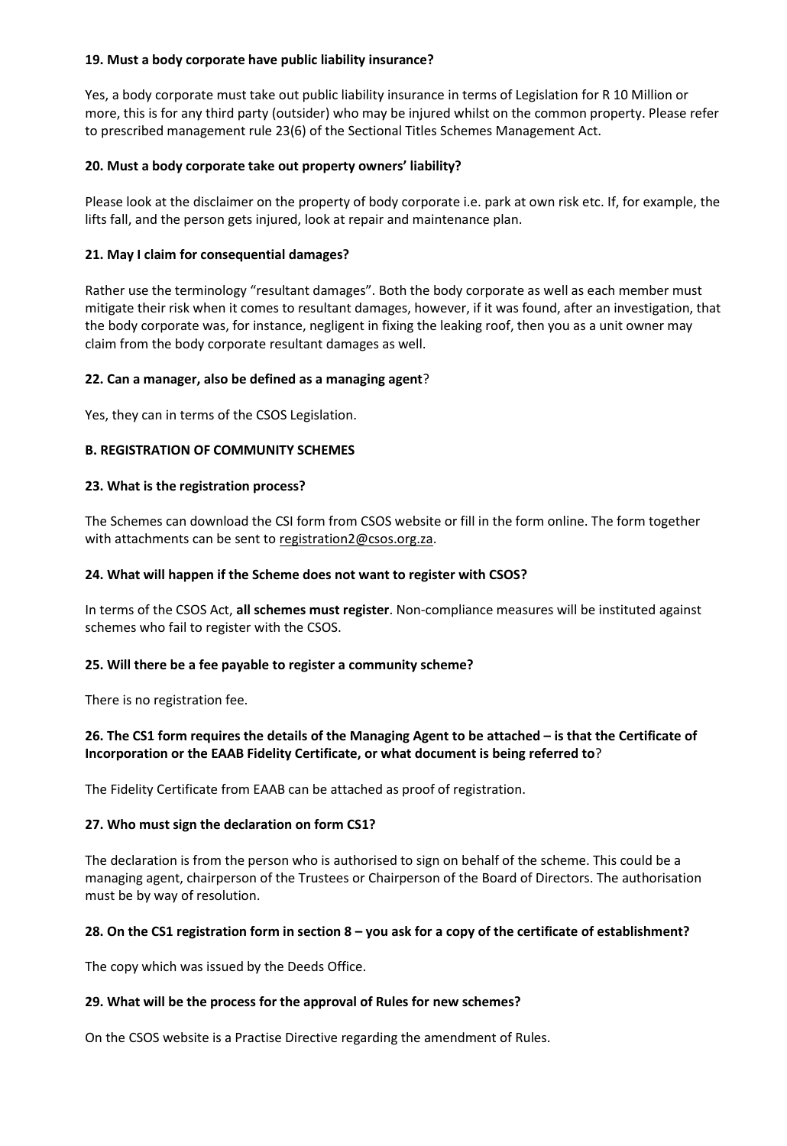#### **19. Must a body corporate have public liability insurance?**

Yes, a body corporate must take out public liability insurance in terms of Legislation for R 10 Million or more, this is for any third party (outsider) who may be injured whilst on the common property. Please refer to prescribed management rule 23(6) of the Sectional Titles Schemes Management Act.

#### **20. Must a body corporate take out property owners' liability?**

Please look at the disclaimer on the property of body corporate i.e. park at own risk etc. If, for example, the lifts fall, and the person gets injured, look at repair and maintenance plan.

#### **21. May I claim for consequential damages?**

Rather use the terminology "resultant damages". Both the body corporate as well as each member must mitigate their risk when it comes to resultant damages, however, if it was found, after an investigation, that the body corporate was, for instance, negligent in fixing the leaking roof, then you as a unit owner may claim from the body corporate resultant damages as well.

## **22. Can a manager, also be defined as a managing agent**?

Yes, they can in terms of the CSOS Legislation.

## **B. REGISTRATION OF COMMUNITY SCHEMES**

#### **23. What is the registration process?**

The Schemes can download the CSI form from CSOS website or fill in the form online. The form together with attachments can be sent to [registration2@csos.org.za.](mailto:registration2@csos.org.za)

#### **24. What will happen if the Scheme does not want to register with CSOS?**

In terms of the CSOS Act, **all schemes must register**. Non-compliance measures will be instituted against schemes who fail to register with the CSOS.

#### **25. Will there be a fee payable to register a community scheme?**

There is no registration fee.

## **26. The CS1 form requires the details of the Managing Agent to be attached – is that the Certificate of Incorporation or the EAAB Fidelity Certificate, or what document is being referred to**?

The Fidelity Certificate from EAAB can be attached as proof of registration.

#### **27. Who must sign the declaration on form CS1?**

The declaration is from the person who is authorised to sign on behalf of the scheme. This could be a managing agent, chairperson of the Trustees or Chairperson of the Board of Directors. The authorisation must be by way of resolution.

#### **28. On the CS1 registration form in section 8 – you ask for a copy of the certificate of establishment?**

The copy which was issued by the Deeds Office.

#### **29. What will be the process for the approval of Rules for new schemes?**

On the CSOS website is a Practise Directive regarding the amendment of Rules.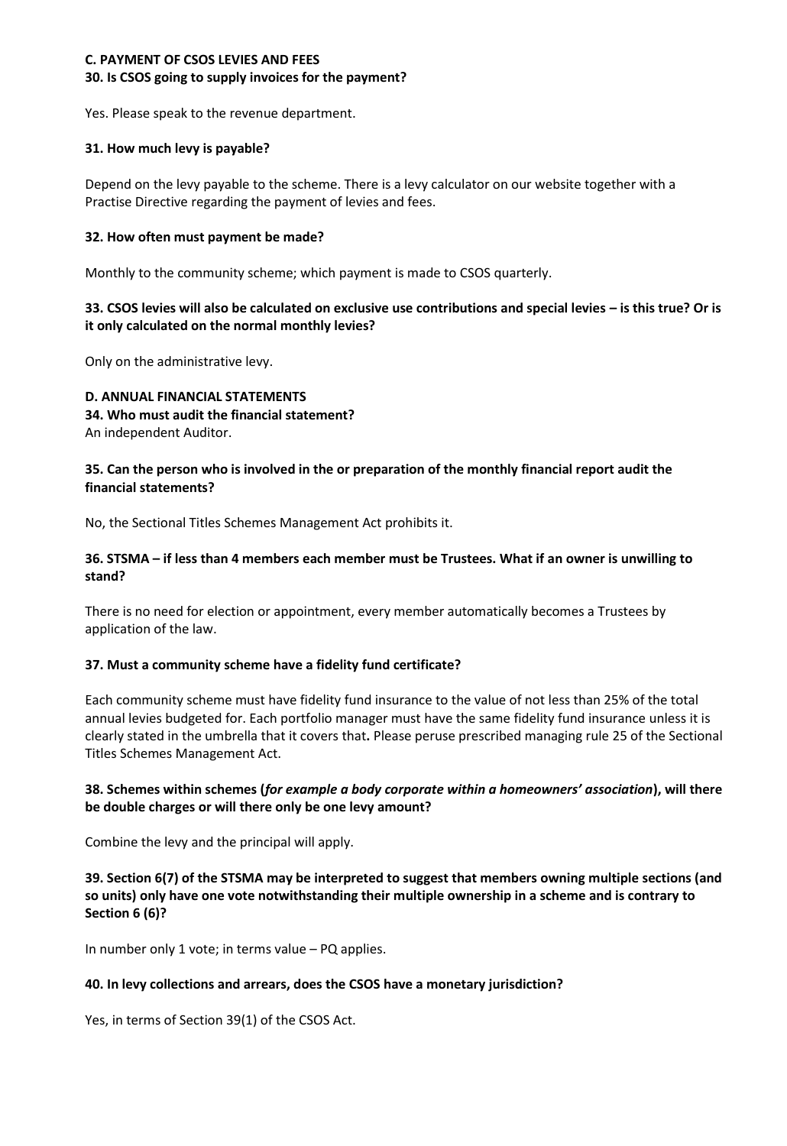## **C. PAYMENT OF CSOS LEVIES AND FEES 30. Is CSOS going to supply invoices for the payment?**

Yes. Please speak to the revenue department.

## **31. How much levy is payable?**

Depend on the levy payable to the scheme. There is a levy calculator on our website together with a Practise Directive regarding the payment of levies and fees.

## **32. How often must payment be made?**

Monthly to the community scheme; which payment is made to CSOS quarterly.

# **33. CSOS levies will also be calculated on exclusive use contributions and special levies – is this true? Or is it only calculated on the normal monthly levies?**

Only on the administrative levy.

## **D. ANNUAL FINANCIAL STATEMENTS 34. Who must audit the financial statement?**  An independent Auditor.

## **35. Can the person who is involved in the or preparation of the monthly financial report audit the financial statements?**

No, the Sectional Titles Schemes Management Act prohibits it.

## **36. STSMA – if less than 4 members each member must be Trustees. What if an owner is unwilling to stand?**

There is no need for election or appointment, every member automatically becomes a Trustees by application of the law.

# **37. Must a community scheme have a fidelity fund certificate?**

Each community scheme must have fidelity fund insurance to the value of not less than 25% of the total annual levies budgeted for. Each portfolio manager must have the same fidelity fund insurance unless it is clearly stated in the umbrella that it covers that**.** Please peruse prescribed managing rule 25 of the Sectional Titles Schemes Management Act.

## **38. Schemes within schemes (***for example a body corporate within a homeowners' association***), will there be double charges or will there only be one levy amount?**

Combine the levy and the principal will apply.

**39. Section 6(7) of the STSMA may be interpreted to suggest that members owning multiple sections (and so units) only have one vote notwithstanding their multiple ownership in a scheme and is contrary to Section 6 (6)?** 

In number only 1 vote; in terms value – PQ applies.

# **40. In levy collections and arrears, does the CSOS have a monetary jurisdiction?**

Yes, in terms of Section 39(1) of the CSOS Act.